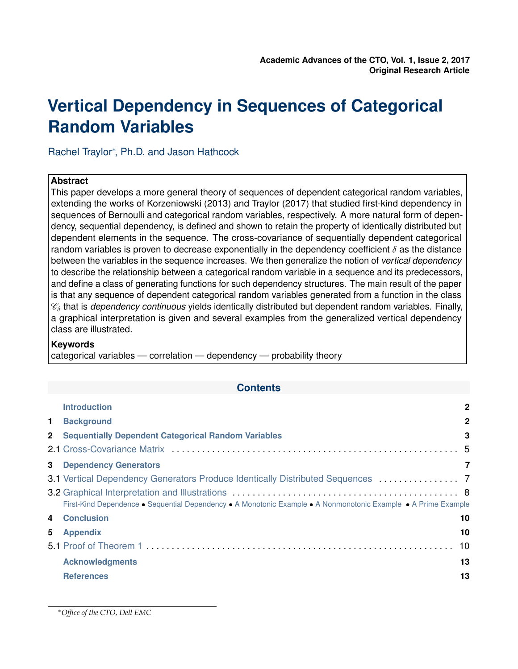# <span id="page-0-0"></span>**Vertical Dependency in Sequences of Categorical Random Variables**

Rachel Traylor<sup>\*</sup>, Ph.D. and Jason Hathcock

## **Abstract**

This paper develops a more general theory of sequences of dependent categorical random variables, extending the works of Korzeniowski (2013) and Traylor (2017) that studied first-kind dependency in sequences of Bernoulli and categorical random variables, respectively. A more natural form of dependency, sequential dependency, is defined and shown to retain the property of identically distributed but dependent elements in the sequence. The cross-covariance of sequentially dependent categorical random variables is proven to decrease exponentially in the dependency coefficient *δ* as the distance between the variables in the sequence increases. We then generalize the notion of *vertical dependency* to describe the relationship between a categorical random variable in a sequence and its predecessors, and define a class of generating functions for such dependency structures. The main result of the paper is that any sequence of dependent categorical random variables generated from a function in the class  $\mathscr{C}_\delta$  that is *dependency continuous* yields identically distributed but dependent random variables. Finally, a graphical interpretation is given and several examples from the generalized vertical dependency class are illustrated.

## **Keywords**

categorical variables — correlation — dependency — probability theory

## **Contents**

|                | <b>Introduction</b>                                                                                            | $\mathbf{2}$ |
|----------------|----------------------------------------------------------------------------------------------------------------|--------------|
| $1 -$          | <b>Background</b>                                                                                              | $\mathbf{2}$ |
|                | 2 Sequentially Dependent Categorical Random Variables                                                          | 3            |
|                |                                                                                                                |              |
|                | <b>3</b> Dependency Generators                                                                                 | 7            |
|                | 3.1 Vertical Dependency Generators Produce Identically Distributed Sequences  7                                |              |
|                | First-Kind Dependence • Sequential Dependency • A Monotonic Example • A Nonmonotonic Example • A Prime Example |              |
| $\overline{4}$ | <b>Conclusion</b>                                                                                              | 10           |
| 5              | <b>Appendix</b>                                                                                                | 10           |
|                |                                                                                                                | 10           |
|                | <b>Acknowledgments</b>                                                                                         | 13           |
|                | <b>References</b>                                                                                              | 13           |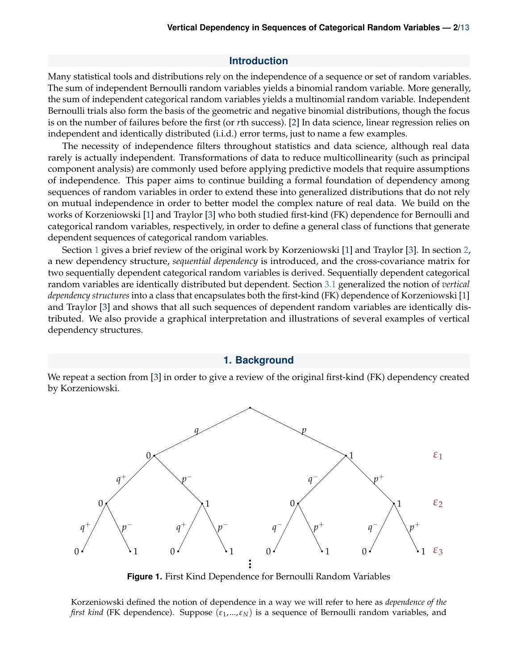#### **Introduction**

Many statistical tools and distributions rely on the independence of a sequence or set of random variables. The sum of independent Bernoulli random variables yields a binomial random variable. More generally, the sum of independent categorical random variables yields a multinomial random variable. Independent Bernoulli trials also form the basis of the geometric and negative binomial distributions, though the focus is on the number of failures before the first (or *r*th success). [\[2\]](#page-12-3) In data science, linear regression relies on independent and identically distributed (i.i.d.) error terms, just to name a few examples.

The necessity of independence filters throughout statistics and data science, although real data rarely is actually independent. Transformations of data to reduce multicollinearity (such as principal component analysis) are commonly used before applying predictive models that require assumptions of independence. This paper aims to continue building a formal foundation of dependency among sequences of random variables in order to extend these into generalized distributions that do not rely on mutual independence in order to better model the complex nature of real data. We build on the works of Korzeniowski [\[1\]](#page-12-4) and Traylor [\[3\]](#page-12-5) who both studied first-kind (FK) dependence for Bernoulli and categorical random variables, respectively, in order to define a general class of functions that generate dependent sequences of categorical random variables.

Section [1](#page-1-0) gives a brief review of the original work by Korzeniowski [\[1\]](#page-12-4) and Traylor [\[3\]](#page-12-5). In section [2,](#page-2-0) a new dependency structure, *sequential dependency* is introduced, and the cross-covariance matrix for two sequentially dependent categorical random variables is derived. Sequentially dependent categorical random variables are identically distributed but dependent. Section [3.1](#page-6-1) generalized the notion of *vertical dependency structures* into a class that encapsulates both the first-kind (FK) dependence of Korzeniowski [\[1\]](#page-12-4) and Traylor [\[3\]](#page-12-5) and shows that all such sequences of dependent random variables are identically distributed. We also provide a graphical interpretation and illustrations of several examples of vertical dependency structures.

#### **1. Background**

<span id="page-1-0"></span>We repeat a section from [\[3\]](#page-12-5) in order to give a review of the original first-kind (FK) dependency created by Korzeniowski.

<span id="page-1-1"></span>

**Figure 1.** First Kind Dependence for Bernoulli Random Variables

Korzeniowski defined the notion of dependence in a way we will refer to here as *dependence of the first kind* (FK dependence). Suppose (*ε*1,...,*εN*) is a sequence of Bernoulli random variables, and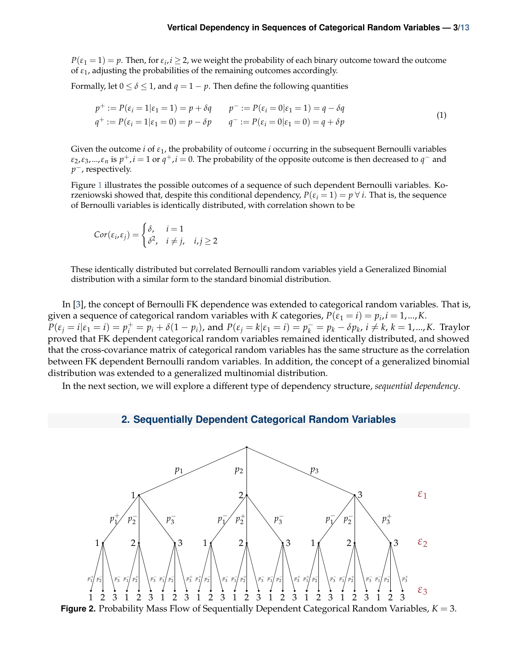$P(\varepsilon_1 = 1) = p$ . Then, for  $\varepsilon_i$ ,  $i \geq 2$ , we weight the probability of each binary outcome toward the outcome of  $\varepsilon_1$ , adjusting the probabilities of the remaining outcomes accordingly.

Formally, let  $0 \le \delta \le 1$ , and  $q = 1 - p$ . Then define the following quantities

$$
p^{+} := P(\varepsilon_{i} = 1 | \varepsilon_{1} = 1) = p + \delta q \qquad p^{-} := P(\varepsilon_{i} = 0 | \varepsilon_{1} = 1) = q - \delta q
$$
  
\n
$$
q^{+} := P(\varepsilon_{i} = 1 | \varepsilon_{1} = 0) = p - \delta p \qquad q^{-} := P(\varepsilon_{i} = 0 | \varepsilon_{1} = 0) = q + \delta p
$$
\n(1)

Given the outcome *i* of *ε*1, the probability of outcome *i* occurring in the subsequent Bernoulli variables  $\varepsilon_2$ , $\varepsilon_3$ ,..., $\varepsilon_n$  is  $p^+, i = 1$  or  $q^+, i = 0$ . The probability of the opposite outcome is then decreased to  $q^-$  and *p*<sup>−</sup>, respectively.

Figure [1](#page-1-1) illustrates the possible outcomes of a sequence of such dependent Bernoulli variables. Korzeniowski showed that, despite this conditional dependency,  $P(\varepsilon_i = 1) = p \ \forall \ i$ . That is, the sequence of Bernoulli variables is identically distributed, with correlation shown to be

$$
Cor(\varepsilon_i, \varepsilon_j) = \begin{cases} \delta, & i = 1 \\ \delta^2, & i \neq j, \quad i, j \geq 2 \end{cases}
$$

These identically distributed but correlated Bernoulli random variables yield a Generalized Binomial distribution with a similar form to the standard binomial distribution.

In [\[3\]](#page-12-5), the concept of Bernoulli FK dependence was extended to categorical random variables. That is, given a sequence of categorical random variables with *K* categories,  $P(\varepsilon_1 = i) = p_i$ ,  $i = 1,...,K$ .  $P(\varepsilon_j = i | \varepsilon_1 = i) = p_i^+ = p_i + \delta(1 - p_i)$ , and  $P(\varepsilon_j = k | \varepsilon_1 = i) = p_k^- = p_k - \delta p_k$ ,  $i \neq k$ ,  $k = 1, ..., K$ . Traylor proved that FK dependent categorical random variables remained identically distributed, and showed that the cross-covariance matrix of categorical random variables has the same structure as the correlation between FK dependent Bernoulli random variables. In addition, the concept of a generalized binomial distribution was extended to a generalized multinomial distribution.

<span id="page-2-0"></span>In the next section, we will explore a different type of dependency structure, *sequential dependency*.

## **2. Sequentially Dependent Categorical Random Variables**

<span id="page-2-1"></span>

**Figure 2.** Probability Mass Flow of Sequentially Dependent Categorical Random Variables, *K* = 3.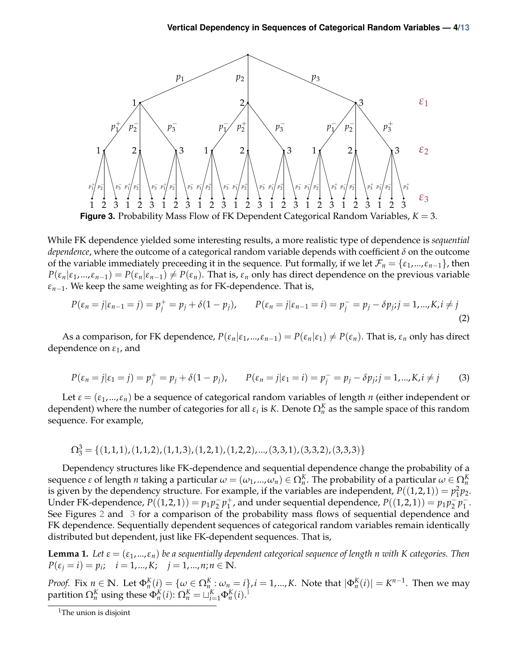<span id="page-3-0"></span>

While FK dependence yielded some interesting results, a more realistic type of dependence is *sequential dependence*, where the outcome of a categorical random variable depends with coefficient *δ* on the outcome of the variable immediately preceeding it in the sequence. Put formally, if we let  $\mathcal{F}_n = \{\varepsilon_1, ..., \varepsilon_{n-1}\}\)$ , then  $P(\varepsilon_n|\varepsilon_1,...,\varepsilon_{n-1}) = P(\varepsilon_n|\varepsilon_{n-1}) \neq P(\varepsilon_n)$ . That is,  $\varepsilon_n$  only has direct dependence on the previous variable *εn*−1. We keep the same weighting as for FK-dependence. That is,

$$
P(\varepsilon_n = j | \varepsilon_{n-1} = j) = p_j^+ = p_j + \delta(1 - p_j), \qquad P(\varepsilon_n = j | \varepsilon_{n-1} = i) = p_j^- = p_j - \delta p_j; j = 1, ..., K, i \neq j
$$
\n(2)

As a comparison, for FK dependence,  $P(\varepsilon_n|\varepsilon_1,...,\varepsilon_{n-1}) = P(\varepsilon_n|\varepsilon_1) \neq P(\varepsilon_n)$ . That is,  $\varepsilon_n$  only has direct dependence on *ε*1, and

$$
P(\varepsilon_n = j | \varepsilon_1 = j) = p_j^+ = p_j + \delta(1 - p_j), \qquad P(\varepsilon_n = j | \varepsilon_1 = i) = p_j^- = p_j - \delta p_j; j = 1, ..., K, i \neq j \tag{3}
$$

Let  $\varepsilon = (\varepsilon_1, ..., \varepsilon_n)$  be a sequence of categorical random variables of length *n* (either independent or dependent) where the number of categories for all  $\varepsilon_i$  is *K*. Denote  $\Omega_n^K$  as the sample space of this random sequence. For example,

$$
\Omega_3^3 = \{(1,1,1), (1,1,2), (1,1,3), (1,2,1), (1,2,2), ..., (3,3,1), (3,3,2), (3,3,3)\}
$$

Dependency structures like FK-dependence and sequential dependence change the probability of a  $\alpha$  sequence  $\varepsilon$  of length *n* taking a particular  $\omega=(\omega_1,...,\omega_n)\in\Omega_n^K$ . The probability of a particular  $\omega\in\Omega_n^K$ is given by the dependency structure. For example, if the variables are independent,  $P((1,2,1)) = p_1^2 p_2$ . Under FK-dependence,  $P((1, 2, 1)) = p_1 p_2^{-1}$  $\frac{1}{2}p_1^+$  $_1^+$ , and under sequential dependence,  $P((1,2,1)) = p_1 p_2^ \frac{1}{2}p_1^ \frac{1}{1}$ . See Figures [2](#page-2-1) and [3](#page-3-0) for a comparison of the probability mass flows of sequential dependence and FK dependence. Sequentially dependent sequences of categorical random variables remain identically distributed but dependent, just like FK-dependent sequences. That is,

**Lemma 1.** Let  $\varepsilon = (\varepsilon_1, ..., \varepsilon_n)$  be a sequentially dependent categorical sequence of length *n* with *K* categories. Then  $P(\varepsilon_j = i) = p_i; \quad i = 1, ..., K; \quad j = 1, ..., n; n \in \mathbb{N}.$ 

*Proof.* Fix  $n \in \mathbb{N}$ . Let  $\Phi_n^K(i) = \{ \omega \in \Omega_n^K : \omega_n = i \}$ ,  $i = 1,...,K$ . Note that  $|\Phi_n^K(i)| = K^{n-1}$ . Then we may partition  $\Omega_n^K$  using these  $\Phi_n^K(i)$ :  $\Omega_n^K = \sqcup_{i=1}^K \Phi_n^K(i)$  $\Omega_n^K = \sqcup_{i=1}^K \Phi_n^K(i)$  $\Omega_n^K = \sqcup_{i=1}^K \Phi_n^K(i)$ .<sup>1</sup>

<span id="page-3-1"></span><sup>&</sup>lt;sup>1</sup>The union is disjoint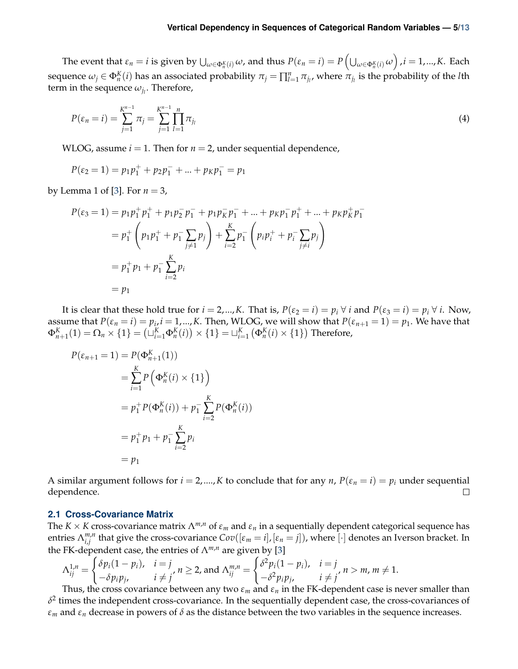The event that  $\varepsilon_n=i$  is given by  $\bigcup_{\omega\in\Phi^K_n(i)}\omega$ , and thus  $P(\varepsilon_n=i)=P\left(\bigcup_{\omega\in\Phi^K_n(i)}\omega\right)$  ,  $i=1,...,K.$  Each sequence  $ω_j ∈ Φ_n^K(i)$  has an associated probability  $π_j = \prod_{l=1}^n π_{j_l}$ , where  $π_{j_l}$  is the probability of the *l*th term in the sequence  $\omega_{j_l}.$  Therefore,

$$
P(\varepsilon_n = i) = \sum_{j=1}^{K^{n-1}} \pi_j = \sum_{j=1}^{K^{n-1}} \prod_{l=1}^n \pi_{j_l}
$$
\n(4)

WLOG, assume  $i = 1$ . Then for  $n = 2$ , under sequential dependence,

$$
P(\varepsilon_2 = 1) = p_1 p_1^+ + p_2 p_1^- + \dots + p_K p_1^- = p_1
$$

by Lemma 1 of [\[3\]](#page-12-5). For  $n = 3$ ,

$$
P(\varepsilon_3 = 1) = p_1 p_1^+ p_1^+ + p_1 p_2^- p_1^- + p_1 p_k^- p_1^- + \dots + p_k p_1^- p_1^+ + \dots + p_k p_k^+ p_1^-
$$
  
=  $p_1^+ \left( p_1 p_1^+ + p_1^- \sum_{j \neq 1} p_j \right) + \sum_{i=2}^K p_i^- \left( p_i p_i^+ + p_i^- \sum_{j \neq i} p_j \right)$   
=  $p_1^+ p_1 + p_1^- \sum_{i=2}^K p_i$   
=  $p_1$ 

It is clear that these hold true for  $i = 2,...,K$ . That is,  $P(\varepsilon_2 = i) = p_i \ \forall i$  and  $P(\varepsilon_3 = i) = p_i \ \forall i$ . Now, assume that  $P(\varepsilon_n = i) = p_i$ ,  $i = 1,...,K$ . Then, WLOG, we will show that  $P(\varepsilon_{n+1} = 1) = p_1$ . We have that  $\Phi_{n+1}^K(1) = \Omega_n \times \{1\} = \left(\sqcup_{i=1}^K \Phi_n^K(i)\right) \times \{1\} = \sqcup_{i=1}^K \left(\Phi_n^K(i) \times \{1\}\right)$  Therefore,

$$
P(\varepsilon_{n+1} = 1) = P(\Phi_{n+1}^{K}(1))
$$
  
=  $\sum_{i=1}^{K} P(\Phi_{n}^{K}(i) \times \{1\})$   
=  $p_{1}^{+} P(\Phi_{n}^{K}(i)) + p_{1}^{-} \sum_{i=2}^{K} P(\Phi_{n}^{K}(i))$   
=  $p_{1}^{+} p_{1} + p_{1}^{-} \sum_{i=2}^{K} p_{i}$   
=  $p_{1}$ 

A similar argument follows for  $i = 2, ..., K$  to conclude that for any *n*,  $P(\varepsilon_n = i) = p_i$  under sequential dependence.  $\Box$ 

#### <span id="page-4-0"></span>**2.1 Cross-Covariance Matrix**

The *K* × *K* cross-covariance matrix  $\Lambda^{m,n}$  of  $\varepsilon_m$  and  $\varepsilon_n$  in a sequentially dependent categorical sequence has entries  $\Lambda^{m,n}_{i,i}$  $\sum_{i,j}^{m,n}$  that give the cross-covariance  $Cov([\varepsilon_m=i],[\varepsilon_n=j])$ , where  $[\cdot]$  denotes an Iverson bracket. In the FK-dependent case, the entries of  $\Lambda^{m,n}$  are given by [\[3\]](#page-12-5)

$$
\Lambda_{ij}^{1,n} = \begin{cases} \delta p_i(1-p_i), & i=j \\ -\delta p_i p_j, & i \neq j' \end{cases}, n \ge 2, \text{ and } \Lambda_{ij}^{m,n} = \begin{cases} \delta^2 p_i(1-p_i), & i=j \\ -\delta^2 p_i p_j, & i \neq j' \end{cases}, n > m, m \neq 1.
$$

Thus, the cross covariance between any two  $\varepsilon_m$  and  $\varepsilon_n$  in the FK-dependent case is never smaller than  $\delta^2$  times the independent cross-covariance. In the sequentially dependent case, the cross-covariances of *ε<sup>m</sup>* and *ε<sup>n</sup>* decrease in powers of *δ* as the distance between the two variables in the sequence increases.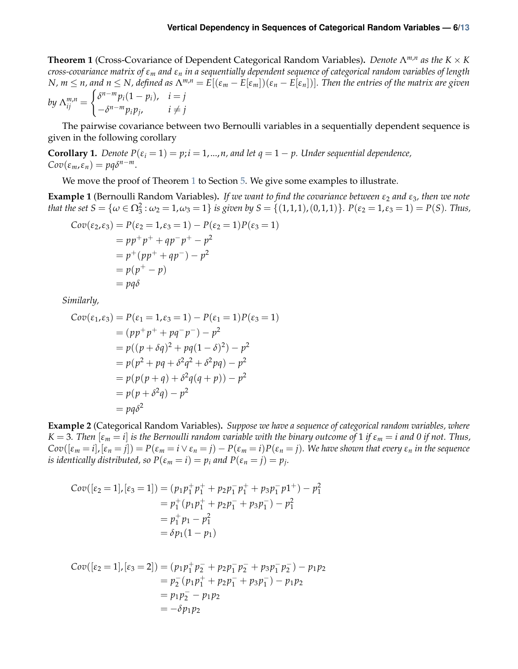<span id="page-5-0"></span>**Theorem 1** (Cross-Covariance of Dependent Categorical Random Variables)**.** *Denote* Λ*m*,*<sup>n</sup> as the K* × *K cross-covariance matrix of ε<sup>m</sup> and ε<sup>n</sup> in a sequentially dependent sequence of categorical random variables of length* N,  $m \le n$ , and  $n \le N$ , defined as  $\Lambda^{m,n} = E[(\varepsilon_m - E[\varepsilon_m])(\varepsilon_n - E[\varepsilon_n])]$ . Then the entries of the matrix are given *by* Λ  $\binom{m,n}{i}$  $\int \delta^{n-m} p_i(1-p_i)$ ,  $i=j$ 

$$
by \ \Lambda_{ij}^{m,n} = \begin{cases} -\delta^{n-m} p_i p_j, & i \neq j \end{cases}
$$

The pairwise covariance between two Bernoulli variables in a sequentially dependent sequence is given in the following corollary

**Corollary 1.** *Denote*  $P(\varepsilon_i = 1) = p$ ;  $i = 1, ..., n$ , and let  $q = 1 - p$ . Under sequential dependence,  $Cov(\varepsilon_m, \varepsilon_n) = pq\delta^{n-m}.$ 

We move the proof of Theorem [1](#page-5-0) to Section [5.](#page-9-0) We give some examples to illustrate.

**Example 1** (Bernoulli Random Variables)**.** *If we want to find the covariance between ε*<sup>2</sup> *and ε*3*, then we note that the set*  $S = \{ \omega \in \Omega_3^2 : \omega_2 = 1, \omega_3 = 1 \}$  *is given by*  $S = \{ (1, 1, 1), (0, 1, 1) \}$ *.*  $P(\varepsilon_2 = 1, \varepsilon_3 = 1) = P(S)$ *. Thus,* 

$$
Cov(\varepsilon_2, \varepsilon_3) = P(\varepsilon_2 = 1, \varepsilon_3 = 1) - P(\varepsilon_2 = 1)P(\varepsilon_3 = 1)
$$
  
=  $pp^+p^+ + qp^-p^+ - p^2$   
=  $p^+(pp^+ + qp^-) - p^2$   
=  $p(p^+ - p)$   
=  $pq\delta$ 

*Similarly,*

$$
Cov(\varepsilon_1, \varepsilon_3) = P(\varepsilon_1 = 1, \varepsilon_3 = 1) - P(\varepsilon_1 = 1)P(\varepsilon_3 = 1)
$$
  
=  $(pp^+p^+ + pq^-p^-) - p^2$   
=  $p((p + \delta q)^2 + pq(1 - \delta)^2) - p^2$   
=  $p(p^2 + pq + \delta^2 q^2 + \delta^2 pq) - p^2$   
=  $p(p(p + q) + \delta^2 q(q + p)) - p^2$   
=  $p(p + \delta^2 q) - p^2$   
=  $pq\delta^2$ 

**Example 2** (Categorical Random Variables)**.** *Suppose we have a sequence of categorical random variables, where*  $K = 3$ . Then  $[\varepsilon_m = i]$  *is the Bernoulli random variable with the binary outcome of* 1 *if*  $\varepsilon_m = i$  and 0 *if not. Thus,*  $Cov([ε<sub>m</sub> = i], [ε<sub>n</sub> = j]) = P(ε<sub>m</sub> = i ∨ ε<sub>n</sub> = j) - P(ε<sub>m</sub> = i)P(ε<sub>n</sub> = j).$  We have shown that every  $ε<sub>n</sub>$  in the sequence *is identically distributed, so*  $P(\varepsilon_m = i) = p_i$  *and*  $P(\varepsilon_n = j) = p_j$ *.* 

$$
Cov([\varepsilon_2 = 1], [\varepsilon_3 = 1]) = (p_1 p_1^+ p_1^+ + p_2 p_1^- p_1^+ + p_3 p_1^- p_1^+) - p_1^2
$$
  
=  $p_1^+ (p_1 p_1^+ + p_2 p_1^- + p_3 p_1^-) - p_1^2$   
=  $p_1^+ p_1 - p_1^2$   
=  $\delta p_1 (1 - p_1)$ 

$$
Cov([{\varepsilon}_2 = 1], [{\varepsilon}_3 = 2]) = (p_1 p_1^+ p_2^- + p_2 p_1^- p_2^- + p_3 p_1^- p_2^-) - p_1 p_2
$$
  
=  $p_2^- (p_1 p_1^+ + p_2 p_1^- + p_3 p_1^-) - p_1 p_2$   
=  $p_1 p_2^- - p_1 p_2$   
=  $-\delta p_1 p_2$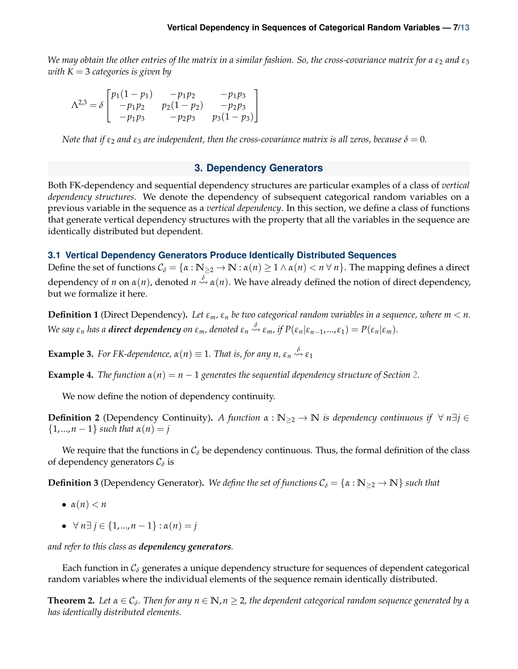*We may obtain the other entries of the matrix in a similar fashion. So, the cross-covariance matrix for a*  $\epsilon_2$  *and*  $\epsilon_3$ *with K* = 3 *categories is given by*

$$
\Lambda^{2,3} = \delta \begin{bmatrix} p_1(1-p_1) & -p_1p_2 & -p_1p_3 \ -p_1p_2 & p_2(1-p_2) & -p_2p_3 \ -p_1p_3 & -p_2p_3 & p_3(1-p_3) \end{bmatrix}
$$

*Note that if*  $\varepsilon_2$  *and*  $\varepsilon_3$  *are independent, then the cross-covariance matrix is all zeros, because*  $\delta = 0$ *.* 

## **3. Dependency Generators**

<span id="page-6-0"></span>Both FK-dependency and sequential dependency structures are particular examples of a class of *vertical dependency structures*. We denote the dependency of subsequent categorical random variables on a previous variable in the sequence as a *vertical dependency*. In this section, we define a class of functions that generate vertical dependency structures with the property that all the variables in the sequence are identically distributed but dependent.

## <span id="page-6-1"></span>**3.1 Vertical Dependency Generators Produce Identically Distributed Sequences**

Define the set of functions  $C_{\delta} = \{ \alpha : \mathbb{N}_{\geq 2} \to \mathbb{N} : \alpha(n) \geq 1 \land \alpha(n) < n \forall n \}$ . The mapping defines a direct dependency of *n* on  $\alpha(n)$ , denoted  $n \stackrel{\delta}{\leadsto} \alpha(n)$ . We have already defined the notion of direct dependency, but we formalize it here.

**Definition 1** (Direct Dependency). Let  $\varepsilon_m$ ,  $\varepsilon_n$  be two categorical random variables in a sequence, where  $m < n$ . We say  $\varepsilon_n$  has a **direct dependency** on  $\varepsilon_m$ , denoted  $\varepsilon_n \stackrel{\delta}{\leadsto} \varepsilon_m$ , if  $P(\varepsilon_n|\varepsilon_{n-1},...,\varepsilon_1) = P(\varepsilon_n|\varepsilon_m)$ .

**Example 3.** For FK-dependence,  $\alpha(n) \equiv 1$ . That is, for any  $n$ ,  $\varepsilon_n \stackrel{\delta}{\leadsto} \varepsilon_1$ 

**Example 4.** *The function*  $\alpha(n) = n - 1$  *generates the sequential dependency structure of Section* [2.](#page-2-0)

We now define the notion of dependency continuity.

**Definition 2** (Dependency Continuity). *A function*  $\alpha : \mathbb{N}_{\geq 2} \to \mathbb{N}$  *is dependency continuous if*  $\forall n \exists j \in \mathbb{N}$  $\{1, ..., n-1\}$  *such that*  $\alpha(n) = j$ 

We require that the functions in  $C_{\delta}$  be dependency continuous. Thus, the formal definition of the class of dependency generators  $\mathcal{C}_{\delta}$  is

**Definition 3** (Dependency Generator). We define the set of functions  $C_{\delta} = \{\alpha : \mathbb{N}_{\geq 2} \to \mathbb{N}\}\$  such that

- $\alpha(n) < n$
- ∀ *n*∃ *j* ∈ {1,...,*n* − 1} : *α*(*n*) = *j*

*and refer to this class as dependency generators.*

Each function in  $C_{\delta}$  generates a unique dependency structure for sequences of dependent categorical random variables where the individual elements of the sequence remain identically distributed.

<span id="page-6-2"></span> $\bf{Theorem~2.}$  Let  $\alpha \in \mathcal{C}_\delta$ . Then for any  $n \in \mathbb{N}$ ,  $n \geq 2$ , the dependent categorical random sequence generated by  $\alpha$ *has identically distributed elements.*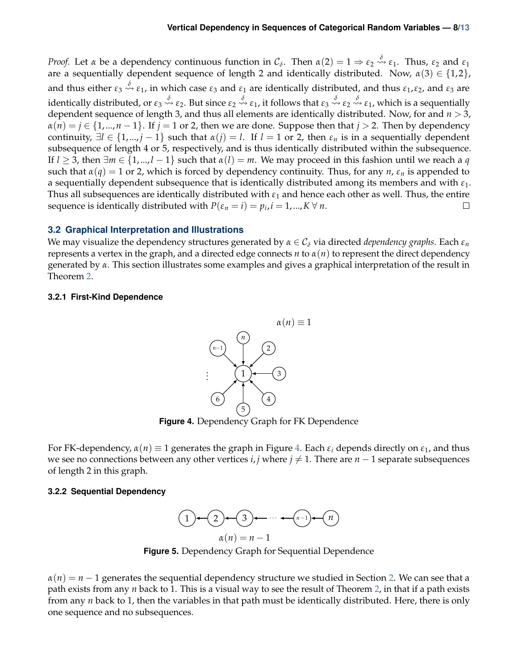*Proof.* Let  $\alpha$  be a dependency continuous function in  $C_{\delta}$ . Then  $\alpha(2) = 1 \Rightarrow \varepsilon_2 \stackrel{\delta}{\leadsto} \varepsilon_1$ . Thus,  $\varepsilon_2$  and  $\varepsilon_1$ are a sequentially dependent sequence of length 2 and identically distributed. Now,  $\alpha(3) \in \{1,2\}$ , and thus either *ε*<sup>3</sup> *<sup>δ</sup> <sup>ε</sup>*1, in which case *<sup>ε</sup>*<sup>3</sup> and *<sup>ε</sup>*<sup>1</sup> are identically distributed, and thus *<sup>ε</sup>*1,*ε*2, and *<sup>ε</sup>*<sup>3</sup> are identically distributed, or *ε*<sup>3</sup> *<sup>δ</sup> ε*2. But since *ε*<sup>2</sup> *<sup>δ</sup> <sup>ε</sup>*1, it follows that *<sup>ε</sup>*<sup>3</sup> *<sup>δ</sup> ε*<sup>2</sup> *<sup>δ</sup> <sup>ε</sup>*1, which is a sequentially dependent sequence of length 3, and thus all elements are identically distributed. Now, for and *n* > 3,  $\alpha(n) = j \in \{1,...,n-1\}$ . If  $j = 1$  or 2, then we are done. Suppose then that  $j > 2$ . Then by dependency continuity,  $\exists l \in \{1,...,j-1\}$  such that  $\alpha(j) = l$ . If  $l = 1$  or 2, then  $\varepsilon_n$  is in a sequentially dependent subsequence of length 4 or 5, respectively, and is thus identically distributed within the subsequence. If  $l \geq 3$ , then  $\exists m \in \{1,...,l-1\}$  such that  $\alpha(l) = m$ . We may proceed in this fashion until we reach a *q* such that  $\alpha(q) = 1$  or 2, which is forced by dependency continuity. Thus, for any *n*,  $\varepsilon_n$  is appended to a sequentially dependent subsequence that is identically distributed among its members and with *ε*1. Thus all subsequences are identically distributed with  $\varepsilon_1$  and hence each other as well. Thus, the entire sequence is identically distributed with  $P(\varepsilon_n = i) = p_i$ ,  $i = 1, ..., K \forall n$ .  $\Box$ 

## <span id="page-7-0"></span>**3.2 Graphical Interpretation and Illustrations**

We may visualize the dependency structures generated by  $\alpha \in C_{\delta}$  via directed *dependency graphs*. Each  $\varepsilon_n$ represents a vertex in the graph, and a directed edge connects *n* to *α*(*n*) to represent the direct dependency generated by *α*. This section illustrates some examples and gives a graphical interpretation of the result in Theorem [2.](#page-6-2)

#### <span id="page-7-3"></span><span id="page-7-1"></span>**3.2.1 First-Kind Dependence**



**Figure 4.** Dependency Graph for FK Dependence

For FK-dependency,  $\alpha(n) \equiv 1$  generates the graph in Figure [4.](#page-7-3) Each  $\varepsilon_i$  depends directly on  $\varepsilon_1$ , and thus we see no connections between any other vertices *i*, *j* where  $j \neq 1$ . There are  $n - 1$  separate subsequences of length 2 in this graph.

## <span id="page-7-2"></span>**3.2.2 Sequential Dependency**



**Figure 5.** Dependency Graph for Sequential Dependence

 $\alpha(n) = n-1$  generates the sequential dependency structure we studied in Section [2.](#page-2-0) We can see that a path exists from any *n* back to 1. This is a visual way to see the result of Theorem [2,](#page-6-2) in that if a path exists from any *n* back to 1, then the variables in that path must be identically distributed. Here, there is only one sequence and no subsequences.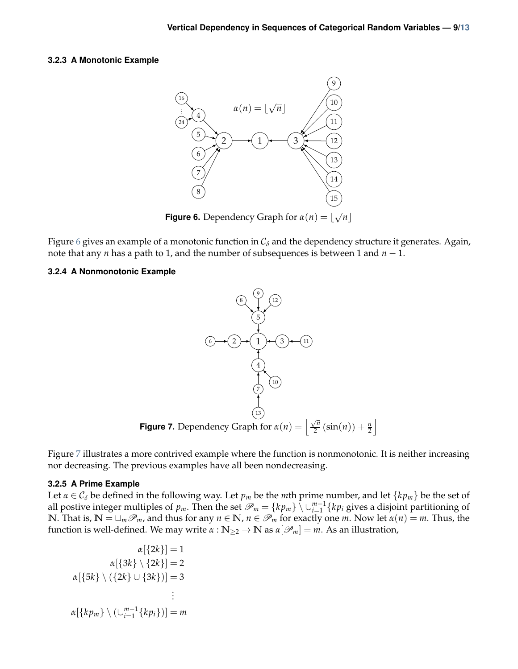#### <span id="page-8-3"></span><span id="page-8-0"></span>**3.2.3 A Monotonic Example**



**Figure 6.** Dependency Graph for  $\alpha(n) = \alpha$  $\overline{n}$ ]

Figure [6](#page-8-3) gives an example of a monotonic function in  $C_{\delta}$  and the dependency structure it generates. Again, note that any *n* has a path to 1, and the number of subsequences is between 1 and *n* − 1.

## <span id="page-8-4"></span><span id="page-8-1"></span>**3.2.4 A Nonmonotonic Example**



Figure [7](#page-8-4) illustrates a more contrived example where the function is nonmonotonic. It is neither increasing nor decreasing. The previous examples have all been nondecreasing.

#### <span id="page-8-2"></span>**3.2.5 A Prime Example**

Let  $\alpha \in C_{\delta}$  be defined in the following way. Let  $p_m$  be the *m*th prime number, and let  $\{kp_m\}$  be the set of all postive integer multiples of  $p_m$ . Then the set  $\mathscr{P}_m = \{kp_m\} \setminus \cup_{i=1}^{m-1} \{kp_i\}$  gives a disjoint partitioning of **N**. That is,  $\mathbb{N} = \sqcup_m \mathcal{P}_m$ , and thus for any  $n \in \mathbb{N}$ ,  $n \in \mathcal{P}_m$  for exactly one *m*. Now let  $\alpha(n) = m$ . Thus, the function is well-defined. We may write  $\alpha : \mathbb{N}_{\geq 2} \to \mathbb{N}$  as  $\alpha[\mathscr{P}_m] = m$ . As an illustration,

$$
\alpha[\{2k\}] = 1
$$

$$
\alpha[\{3k\} \setminus \{2k\}] = 2
$$

$$
\alpha[\{5k\} \setminus (\{2k\} \cup \{3k\})] = 3
$$

$$
\vdots
$$

$$
\alpha[\{kp_m\} \setminus (\bigcup_{i=1}^{m-1}\{kp_i\})] = m
$$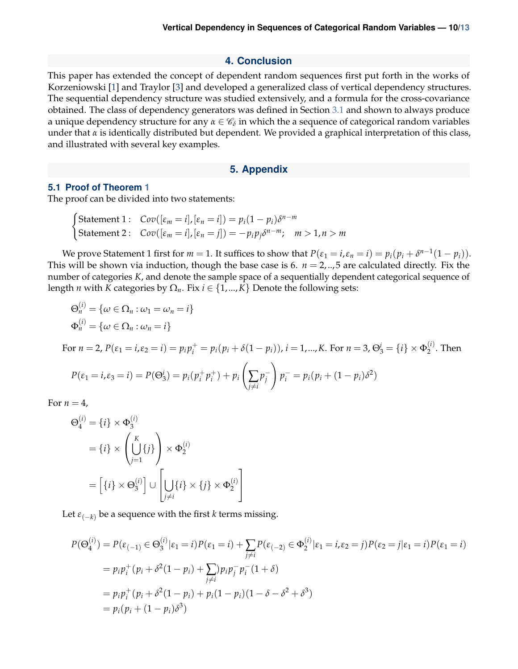#### **4. Conclusion**

This paper has extended the concept of dependent random sequences first put forth in the works of Korzeniowski [\[1\]](#page-12-4) and Traylor [\[3\]](#page-12-5) and developed a generalized class of vertical dependency structures. The sequential dependency structure was studied extensively, and a formula for the cross-covariance obtained. The class of dependency generators was defined in Section [3.1](#page-6-1) and shown to always produce a unique dependency structure for any  $\alpha \in \mathscr{C}_\delta$  in which the a sequence of categorical random variables under that *α* is identically distributed but dependent. We provided a graphical interpretation of this class, and illustrated with several key examples.

#### **5. Appendix**

#### <span id="page-9-1"></span><span id="page-9-0"></span>**5.1 Proof of Theorem [1](#page-5-0)**

The proof can be divided into two statements:

$$
\begin{cases}\n\text{Statement 1:} & \text{Cov}([\varepsilon_m = i], [\varepsilon_n = i]) = p_i(1 - p_i)\delta^{n-m} \\
\text{Statement 2:} & \text{Cov}([\varepsilon_m = i], [\varepsilon_n = j]) = -p_i p_j \delta^{n-m}; \quad m > 1, n > m\n\end{cases}
$$

We prove Statement 1 first for  $m = 1$ . It suffices to show that  $P(\varepsilon_1 = i, \varepsilon_n = i) = p_i(p_i + \delta^{n-1}(1 - p_i)).$ This will be shown via induction, though the base case is 6.  $n = 2,..,5$  are calculated directly. Fix the number of categories *K*, and denote the sample space of a sequentially dependent categorical sequence of length *n* with *K* categories by  $\Omega_n$ . Fix  $i \in \{1,...,K\}$  Denote the following sets:

$$
\Theta_n^{(i)} = \{ \omega \in \Omega_n : \omega_1 = \omega_n = i \}
$$
  
\n
$$
\Phi_n^{(i)} = \{ \omega \in \Omega_n : \omega_n = i \}
$$
  
\nFor  $n = 2$ ,  $P(\varepsilon_1 = i, \varepsilon_2 = i) = p_i p_i^+ = p_i (p_i + \delta(1 - p_i)), i = 1, ..., K$ . For  $n = 3$ ,  $\Theta_3^i = \{ i \} \times \Phi_2^{(i)}$ . Then  
\n
$$
P(\varepsilon_1 = i, \varepsilon_3 = i) = P(\Theta_3^i) = p_i (p_i^+ p_i^+) + p_i \left( \sum_{j \neq i} p_j^- \right) p_i^- = p_i (p_i + (1 - p_i) \delta^2)
$$

For  $n = 4$ ,

$$
\Theta_4^{(i)} = \{i\} \times \Phi_3^{(i)}
$$
  
=  $\{i\} \times \left(\bigcup_{j=1}^K \{j\}\right) \times \Phi_2^{(i)}$   
=  $\left[\{i\} \times \Theta_3^{(i)}\right] \cup \left[\bigcup_{j \neq i} \{i\} \times \{j\} \times \Phi_2^{(i)}\right]$ 

Let  $\varepsilon_{(-k)}$  be a sequence with the first *k* terms missing.

$$
P(\Theta_4^{(i)}) = P(\varepsilon_{(-1)} \in \Theta_3^{(i)} | \varepsilon_1 = i) P(\varepsilon_1 = i) + \sum_{j \neq i} P(\varepsilon_{(-2)} \in \Phi_2^{(i)} | \varepsilon_1 = i, \varepsilon_2 = j) P(\varepsilon_2 = j | \varepsilon_1 = i) P(\varepsilon_1 = i)
$$
  
=  $p_i p_i^+ (p_i + \delta^2 (1 - p_i) + \sum_{j \neq i} p_j p_j^- p_i^- (1 + \delta)$   
=  $p_i p_i^+ (p_i + \delta^2 (1 - p_i) + p_i (1 - p_i) (1 - \delta - \delta^2 + \delta^3)$   
=  $p_i (p_i + (1 - p_i) \delta^3)$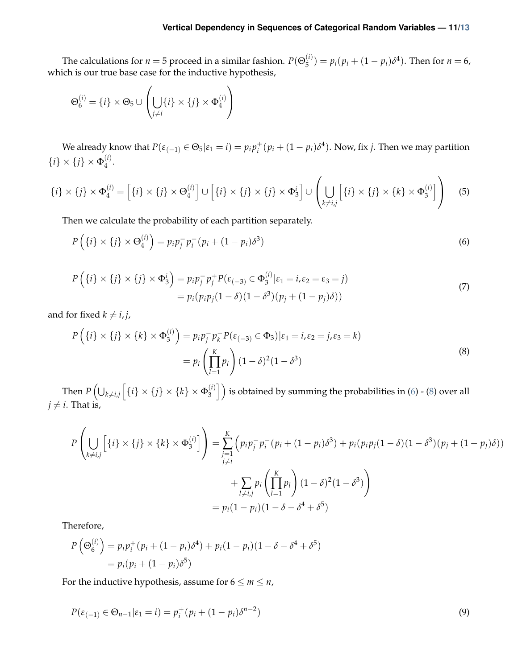The calculations for  $n = 5$  proceed in a similar fashion.  $P(\Theta_5^{(i)})$  $(p_j^{(t)}) = p_i(p_i + (1 - p_i)\delta^4)$ . Then for  $n = 6$ , which is our true base case for the inductive hypothesis,

$$
\Theta_6^{(i)} = \{i\} \times \Theta_5 \cup \left(\bigcup_{j \neq i} \{i\} \times \{j\} \times \Phi_4^{(i)}\right)
$$

We already know that  $P(\varepsilon_{(-1)} \in \Theta_5 | \varepsilon_1 = i) = p_i p_i^+$  $i<sup>+</sup>$  ( $p<sub>i</sub> + (1 - p<sub>i</sub>)\delta<sup>4</sup>$ ). Now, fix *j*. Then we may partition  $\{i\} \times \{j\} \times \Phi_4^{(i)}$  $\frac{4}{4}$ .

$$
\{i\} \times \{j\} \times \Phi_4^{(i)} = \left[\{i\} \times \{j\} \times \Theta_4^{(i)}\right] \cup \left[\{i\} \times \{j\} \times \{j\} \times \Phi_3^i\right] \cup \left(\bigcup_{k \neq i,j} \left[\{i\} \times \{j\} \times \{k\} \times \Phi_3^{(i)}\right]\right) \tag{5}
$$

Then we calculate the probability of each partition separately.

<span id="page-10-0"></span>
$$
P\left(\{i\} \times \{j\} \times \Theta_4^{(i)}\right) = p_i p_j^- p_i^- (p_i + (1 - p_i)\delta^3)
$$
\n<sup>(6)</sup>

$$
P(\lbrace i \rbrace \times \lbrace j \rbrace \times \lbrace j \rbrace \times \Phi_3^i) = p_i p_j^- p_j^+ P(\varepsilon_{(-3)} \in \Phi_3^{(i)} | \varepsilon_1 = i, \varepsilon_2 = \varepsilon_3 = j) = p_i (p_i p_j (1 - \delta)(1 - \delta^3)(p_j + (1 - p_j)\delta))
$$
\n(7)

and for fixed  $k \neq i, j$ ,

<span id="page-10-1"></span>
$$
P\left(\{i\} \times \{j\} \times \{k\} \times \Phi_3^{(i)}\right) = p_i p_j^- p_k^- P(\varepsilon_{(-3)} \in \Phi_3) | \varepsilon_1 = i, \varepsilon_2 = j, \varepsilon_3 = k)
$$
  
= 
$$
p_i \left(\prod_{l=1}^K p_l\right) (1 - \delta)^2 (1 - \delta^3)
$$
 (8)

Then  $P\left(\bigcup_{k\neq i,j}\left[\left\{i\right\}\times \left\{j\right\}\times \left\{k\right\}\times \Phi_3^{(i)}\right]$  $\binom{\binom{i}{3}}{3}$  is obtained by summing the probabilities in [\(6\)](#page-10-0) - [\(8\)](#page-10-1) over all  $j \neq i$ . That is,

$$
P\left(\bigcup_{k \neq i,j} \left[\{i\} \times \{j\} \times \{k\} \times \Phi_3^{(i)}\right]\right) = \sum_{\substack{j=1 \ j \neq i}}^K \left(p_i p_j^- p_i^- (p_i + (1 - p_i)\delta^3) + p_i(p_i p_j (1 - \delta)(1 - \delta^3)(p_j + (1 - p_j)\delta)) + \sum_{\substack{l \neq i,j}} p_i \left(\prod_{l=1}^K p_l\right) (1 - \delta)^2 (1 - \delta^3)\right)
$$
  
=  $p_i (1 - p_i) (1 - \delta - \delta^4 + \delta^5)$ 

Therefore,

$$
P(\Theta_6^{(i)}) = p_i p_i^+ (p_i + (1 - p_i)\delta^4) + p_i (1 - p_i) (1 - \delta - \delta^4 + \delta^5)
$$
  
=  $p_i (p_i + (1 - p_i)\delta^5)$ 

For the inductive hypothesis, assume for  $6 \le m \le n$ ,

$$
P(\varepsilon_{(-1)} \in \Theta_{n-1} | \varepsilon_1 = i) = p_i^+(p_i + (1 - p_i)\delta^{n-2})
$$
\n(9)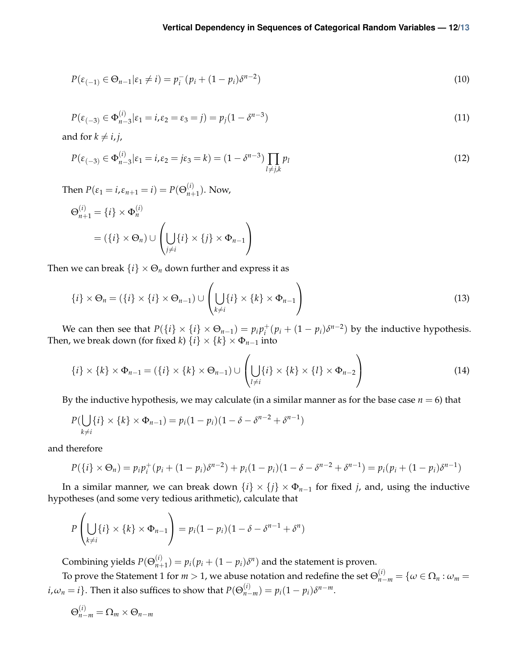$$
P(\varepsilon_{(-1)} \in \Theta_{n-1} | \varepsilon_1 \neq i) = p_i^-(p_i + (1 - p_i)\delta^{n-2})
$$
\n(10)

$$
P(\varepsilon_{(-3)} \in \Phi_{n-3}^{(i)} | \varepsilon_1 = i, \varepsilon_2 = \varepsilon_3 = j) = p_j (1 - \delta^{n-3})
$$
\n(11)

and for  $k \neq i, j$ ,

$$
P(\varepsilon_{(-3)} \in \Phi_{n-3}^{(i)} | \varepsilon_1 = i, \varepsilon_2 = j\varepsilon_3 = k) = (1 - \delta^{n-3}) \prod_{l \neq j,k} p_l
$$
\n(12)

Then  $P(\varepsilon_1 = i, \varepsilon_{n+1} = i) = P(\Theta_{n+1}^{(i)})$  $_{n+1}^{(i)}$ ). Now,

$$
\Theta_{n+1}^{(i)} = \{i\} \times \Phi_n^{(i)}
$$
  
= 
$$
(\{i\} \times \Theta_n) \cup \left(\bigcup_{j \neq i} \{i\} \times \{j\} \times \Phi_{n-1}\right)
$$

Then we can break  $\{i\} \times \Theta_n$  down further and express it as

$$
\{i\} \times \Theta_n = (\{i\} \times \{i\} \times \Theta_{n-1}) \cup \left(\bigcup_{k \neq i} \{i\} \times \{k\} \times \Phi_{n-1}\right)
$$
\n(13)

We can then see that  $P({i} \times {i} \times {\Theta_{n-1}}) = p_i p_i^+$  $i<sup>+</sup>$  $(p<sub>i</sub> + (1 - p<sub>i</sub>)\delta<sup>n-2</sup>)$  by the inductive hypothesis. Then, we break down (for fixed *k*)  $\{i\} \times \{k\} \times \Phi_{n-1}$  into

$$
\{i\} \times \{k\} \times \Phi_{n-1} = (\{i\} \times \{k\} \times \Theta_{n-1}) \cup \left(\bigcup_{l \neq i} \{i\} \times \{k\} \times \{l\} \times \Phi_{n-2}\right)
$$
(14)

By the inductive hypothesis, we may calculate (in a similar manner as for the base case  $n = 6$ ) that

$$
P(\bigcup_{k \neq i} \{i\} \times \{k\} \times \Phi_{n-1}) = p_i(1 - p_i)(1 - \delta - \delta^{n-2} + \delta^{n-1})
$$

and therefore

$$
P({i} \times \Theta_n) = p_i p_i^+(p_i + (1 - p_i)\delta^{n-2}) + p_i (1 - p_i)(1 - \delta - \delta^{n-2} + \delta^{n-1}) = p_i (p_i + (1 - p_i)\delta^{n-1})
$$

In a similar manner, we can break down  $\{i\} \times \{j\} \times \Phi_{n-1}$  for fixed *j*, and, using the inductive hypotheses (and some very tedious arithmetic), calculate that

$$
P\left(\bigcup_{k\neq i}\{i\}\times\{k\}\times\Phi_{n-1}\right)=p_i(1-p_i)(1-\delta-\delta^{n-1}+\delta^n)
$$

Combining yields  $P(\Theta_{n+1}^{(i)})$  $p_{n+1}^{(i)}$  =  $p_i(p_i + (1 - p_i)\delta^n)$  and the statement is proven.

To prove the Statement 1 for  $m>1$ , we abuse notation and redefine the set  $\Theta_{n-m}^{(i)}=\{\omega\in\Omega_n:\omega_m=0\}$  $i$ ,  $\omega_n = i$ . Then it also suffices to show that  $P(\Theta_{n-m}^{(i)}) = p_i(1-p_i)\delta^{n-m}$ .

$$
\Theta_{n-m}^{(1)} = \Omega_m \times \Theta_{n-m}
$$

(*i*)